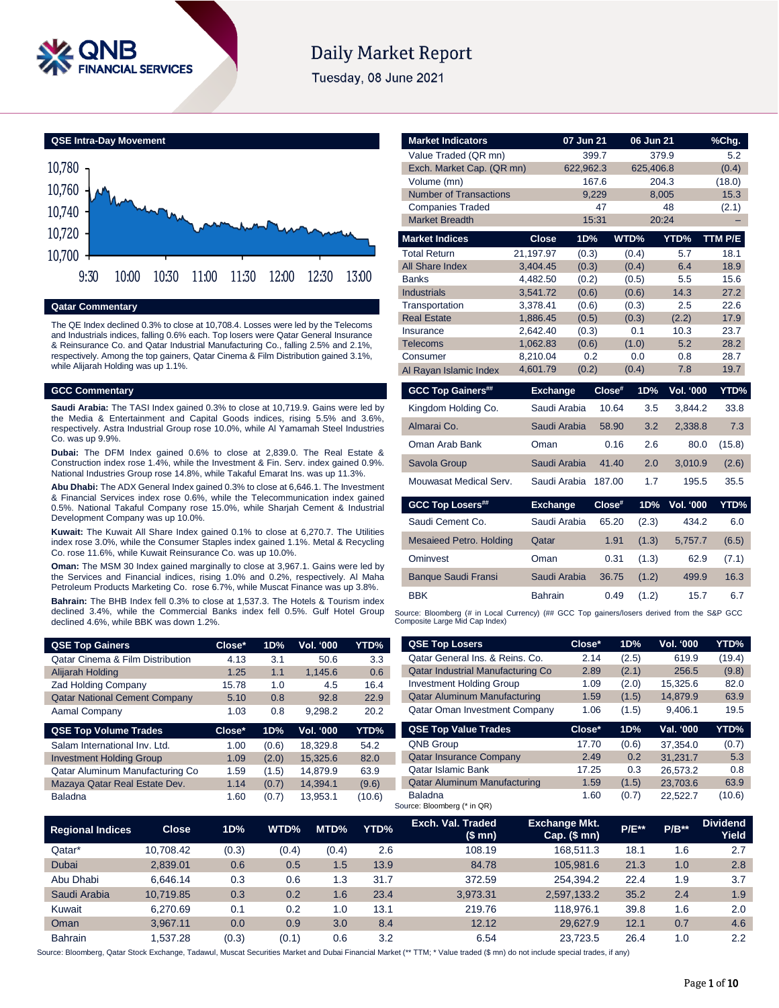

# **Daily Market Report**

Tuesday, 08 June 2021



# **Qatar Commentary**

The QE Index declined 0.3% to close at 10,708.4. Losses were led by the Telecoms and Industrials indices, falling 0.6% each. Top losers were Qatar General Insurance & Reinsurance Co. and Qatar Industrial Manufacturing Co., falling 2.5% and 2.1%, respectively. Among the top gainers, Qatar Cinema & Film Distribution gained 3.1%, while Alijarah Holding was up 1.1%.

### **GCC Commentary**

**Saudi Arabia:** The TASI Index gained 0.3% to close at 10,719.9. Gains were led by the Media & Entertainment and Capital Goods indices, rising 5.5% and 3.6%, respectively. Astra Industrial Group rose 10.0%, while Al Yamamah Steel Industries Co. was up 9.9%.

**Dubai:** The DFM Index gained 0.6% to close at 2,839.0. The Real Estate & Construction index rose 1.4%, while the Investment & Fin. Serv. index gained 0.9%. National Industries Group rose 14.8%, while Takaful Emarat Ins. was up 11.3%.

**Abu Dhabi:** The ADX General Index gained 0.3% to close at 6,646.1. The Investment & Financial Services index rose 0.6%, while the Telecommunication index gained 0.5%. National Takaful Company rose 15.0%, while Sharjah Cement & Industrial Development Company was up 10.0%.

**Kuwait:** The Kuwait All Share Index gained 0.1% to close at 6,270.7. The Utilities index rose 3.0%, while the Consumer Staples index gained 1.1%. Metal & Recycling Co. rose 11.6%, while Kuwait Reinsurance Co. was up 10.0%.

**Oman:** The MSM 30 Index gained marginally to close at 3,967.1. Gains were led by the Services and Financial indices, rising 1.0% and 0.2%, respectively. Al Maha Petroleum Products Marketing Co. rose 6.7%, while Muscat Finance was up 3.8%.

**Bahrain:** The BHB Index fell 0.3% to close at 1,537.3. The Hotels & Tourism index declined 3.4%, while the Commercial Banks index fell 0.5%. Gulf Hotel Group declined 4.6%, while BBK was down 1.2%.

| <b>QSE Top Gainers</b>                      | Close* | 1D% | <b>Vol. '000</b> | YTD% |
|---------------------------------------------|--------|-----|------------------|------|
| <b>Qatar Cinema &amp; Film Distribution</b> | 4.13   | 3.1 | 50.6             | 3.3  |
| Alijarah Holding                            | 1.25   | 1.1 | 1.145.6          | 0.6  |
| <b>Zad Holding Company</b>                  | 15.78  | 1.0 | 4.5              | 16.4 |
| <b>Qatar National Cement Company</b>        | 5.10   | 0.8 | 92.8             | 22.9 |
| Aamal Company                               | 1.03   | 0.8 | 9.298.2          | 20.2 |

| <b>QSE Top Volume Trades</b>    | Close* | 1D%   | <b>Vol. '000</b> | YTD%   |
|---------------------------------|--------|-------|------------------|--------|
| Salam International Inv. Ltd.   | 1.00   | (0.6) | 18.329.8         | 54.2   |
| <b>Investment Holding Group</b> | 1.09   | (2.0) | 15,325.6         | 82.0   |
| Qatar Aluminum Manufacturing Co | 1.59   | (1.5) | 14.879.9         | 63.9   |
| Mazaya Qatar Real Estate Dev.   | 1.14   | (0.7) | 14.394.1         | (9.6)  |
| <b>Baladna</b>                  | 1.60   | (0.7) | 13.953.1         | (10.6) |

| <b>Market Indicators</b>       |                      | 07 Jun 21    |           | 06 Jun 21    |                  | %Chg.        |
|--------------------------------|----------------------|--------------|-----------|--------------|------------------|--------------|
| Value Traded (QR mn)           |                      |              | 399.7     |              | 379.9            | 5.2          |
| Exch. Market Cap. (QR mn)      |                      | 622,962.3    |           | 625,406.8    |                  | (0.4)        |
| Volume (mn)                    |                      |              | 167.6     |              | 204.3            | (18.0)       |
| <b>Number of Transactions</b>  |                      |              | 9,229     |              | 8,005            | 15.3         |
| <b>Companies Traded</b>        |                      |              | 47        |              | 48               | (2.1)        |
| <b>Market Breadth</b>          |                      |              | 15:31     |              | 20:24            |              |
| <b>Market Indices</b>          | <b>Close</b>         | 1D%          |           | WTD%         | YTD%             | TTM P/E      |
| <b>Total Return</b>            | 21,197.97            | (0.3)        |           | (0.4)        | 5.7              | 18.1         |
| All Share Index                | 3,404.45             | (0.3)        |           | (0.4)        | 6.4              | 18.9         |
| <b>Banks</b>                   | 4,482.50             | (0.2)        |           | (0.5)        | 5.5              | 15.6         |
| <b>Industrials</b>             | 3,541.72             | (0.6)        |           | (0.6)        | 14.3             | 27.2         |
| Transportation                 | 3,378.41             | (0.6)        |           | (0.3)        | 2.5              | 22.6         |
| <b>Real Estate</b>             | 1,886.45             | (0.5)        |           | (0.3)        | (2.2)            | 17.9         |
| Insurance                      | 2,642.40             | (0.3)        |           | 0.1          | 10.3             | 23.7         |
| <b>Telecoms</b>                | 1,062.83             | (0.6)        |           | (1.0)        | 5.2              | 28.2         |
| Consumer                       | 8,210.04<br>4,601.79 | 0.2<br>(0.2) |           | 0.0<br>(0.4) | 0.8<br>7.8       | 28.7<br>19.7 |
| Al Rayan Islamic Index         |                      |              |           |              |                  |              |
| <b>GCC Top Gainers##</b>       | <b>Exchange</b>      |              | Close#    | 1D%          | <b>Vol. '000</b> | YTD%         |
| Kingdom Holding Co.            |                      | Saudi Arabia | 10.64     | 3.5          | 3,844.2          | 33.8         |
| Almarai Co.                    |                      | Saudi Arabia | 58.90     | 3.2          | 2,338.8          | 7.3          |
| Oman Arab Bank                 | Oman                 |              | 0.16      | 2.6          | 80.0             | (15.8)       |
| Savola Group                   |                      | Saudi Arabia | 41.40     | 2.0          | 3,010.9          | (2.6)        |
| Mouwasat Medical Serv.         |                      | Saudi Arabia | 187.00    | 1.7          | 195.5            | 35.5         |
| <b>GCC Top Losers##</b>        | <b>Exchange</b>      |              | $Close^*$ | 1D%          | <b>Vol. '000</b> | YTD%         |
| Saudi Cement Co.               |                      | Saudi Arabia | 65.20     | (2.3)        | 434.2            | 6.0          |
| <b>Mesaieed Petro. Holding</b> | Qatar                |              | 1.91      | (1.3)        | 5,757.7          | (6.5)        |
| Ominvest                       | Oman                 |              | 0.31      | (1.3)        | 62.9             | (7.1)        |
| <b>Banque Saudi Fransi</b>     |                      | Saudi Arabia | 36.75     | (1.2)        | 499.9            | 16.3         |
| <b>BBK</b>                     | <b>Bahrain</b>       |              | 0.49      | (1.2)        | 15.7             | 6.7          |
|                                |                      |              |           |              |                  |              |

Source: Bloomberg (# in Local Currency) (## GCC Top gainers/losers derived from the S&P GCC<br>Composite Large Mid Cap Index)

| <b>QSE Top Losers</b>                    | Close* | 1D%   | <b>Vol. '000</b> | YTD%   |
|------------------------------------------|--------|-------|------------------|--------|
| Oatar General Ins. & Reins. Co.          | 2.14   | (2.5) | 619.9            | (19.4) |
| <b>Qatar Industrial Manufacturing Co</b> | 2.89   | (2.1) | 256.5            | (9.8)  |
| <b>Investment Holding Group</b>          | 1.09   | (2.0) | 15,325.6         | 82.0   |
| <b>Qatar Aluminum Manufacturing</b>      | 1.59   | (1.5) | 14.879.9         | 63.9   |
| <b>Qatar Oman Investment Company</b>     | 1.06   | (1.5) | 9.406.1          | 19.5   |
|                                          |        |       |                  |        |
| <b>QSE Top Value Trades</b>              | Close* | 1D%   | Val. '000        | YTD%   |
| <b>QNB Group</b>                         | 17.70  | (0.6) | 37.354.0         | (0.7)  |
| <b>Qatar Insurance Company</b>           | 2.49   | 0.2   | 31.231.7         | 5.3    |
| <b>Qatar Islamic Bank</b>                | 17.25  | 0.3   | 26.573.2         | 0.8    |
| <b>Qatar Aluminum Manufacturing</b>      | 1.59   | (1.5) | 23.703.6         | 63.9   |

| <b>Regional Indices</b> | <b>Close</b> | 1D%   | WTD%  | MTD%  | YTD% | Exch. Val. Traded<br>(\$ mn) | <b>Exchange Mkt.</b><br>$Cap.$ (\$ mn) | <b>P/E**</b> | $P/B**$ | <b>Dividend</b><br>Yield |
|-------------------------|--------------|-------|-------|-------|------|------------------------------|----------------------------------------|--------------|---------|--------------------------|
| Qatar*                  | 10.708.42    | (0.3) | (0.4) | (0.4) | 2.6  | 108.19                       | 168.511.3                              | 18.1         | .6      | 2.7                      |
| Dubai                   | 2.839.01     | 0.6   | 0.5   | 1.5   | 13.9 | 84.78                        | 105.981.6                              | 21.3         | 1.0     | 2.8                      |
| Abu Dhabi               | 6.646.14     | 0.3   | 0.6   | 1.3   | 31.7 | 372.59                       | 254.394.2                              | 22.4         | 1.9     | 3.7                      |
| Saudi Arabia            | 10.719.85    | 0.3   | 0.2   | 1.6   | 23.4 | 3.973.31                     | 2.597.133.2                            | 35.2         | 2.4     | 1.9                      |
| Kuwait                  | 6.270.69     | 0.1   | 0.2   | 1.0   | 13.1 | 219.76                       | 118.976.1                              | 39.8         | 1.6     | 2.0                      |
| Oman                    | 3.967.11     | 0.0   | 0.9   | 3.0   | 8.4  | 12.12                        | 29.627.9                               | 12.1         | 0.7     | 4.6                      |
| <b>Bahrain</b>          | .537.28      | (0.3) | (0.1) | 0.6   | 3.2  | 6.54                         | 23.723.5                               | 26.4         | 1.0     | 2.2                      |

Source: Bloomberg (\* in QR)

Source: Bloomberg, Qatar Stock Exchange, Tadawul, Muscat Securities Market and Dubai Financial Market (\*\* TTM; \* Value traded (\$ mn) do not include special trades, if any)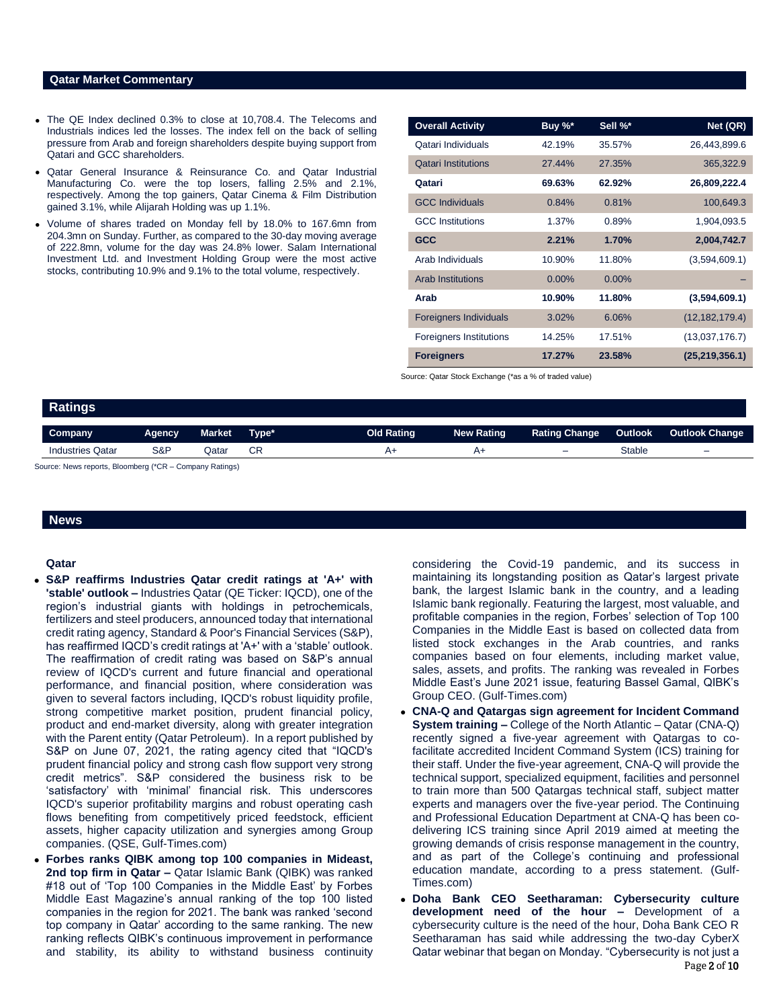## **Qatar Market Commentary**

- The QE Index declined 0.3% to close at 10,708.4. The Telecoms and Industrials indices led the losses. The index fell on the back of selling pressure from Arab and foreign shareholders despite buying support from Qatari and GCC shareholders.
- Qatar General Insurance & Reinsurance Co. and Qatar Industrial Manufacturing Co. were the top losers, falling 2.5% and 2.1%, respectively. Among the top gainers, Qatar Cinema & Film Distribution gained 3.1%, while Alijarah Holding was up 1.1%.
- Volume of shares traded on Monday fell by 18.0% to 167.6mn from 204.3mn on Sunday. Further, as compared to the 30-day moving average of 222.8mn, volume for the day was 24.8% lower. Salam International Investment Ltd. and Investment Holding Group were the most active stocks, contributing 10.9% and 9.1% to the total volume, respectively.

| <b>Overall Activity</b>        | Buy %*   | Sell %*  | Net (QR)         |
|--------------------------------|----------|----------|------------------|
| Qatari Individuals             | 42.19%   | 35.57%   | 26,443,899.6     |
| <b>Qatari Institutions</b>     | 27.44%   | 27.35%   | 365,322.9        |
| Qatari                         | 69.63%   | 62.92%   | 26,809,222.4     |
| <b>GCC Individuals</b>         | 0.84%    | 0.81%    | 100,649.3        |
| <b>GCC</b> Institutions        | 1.37%    | 0.89%    | 1,904,093.5      |
| <b>GCC</b>                     | 2.21%    | 1.70%    | 2,004,742.7      |
| Arab Individuals               | 10.90%   | 11.80%   | (3,594,609.1)    |
| <b>Arab Institutions</b>       | $0.00\%$ | $0.00\%$ |                  |
| Arab                           | 10.90%   | 11.80%   | (3,594,609.1)    |
| <b>Foreigners Individuals</b>  | 3.02%    | 6.06%    | (12, 182, 179.4) |
| <b>Foreigners Institutions</b> | 14.25%   | 17.51%   | (13,037,176.7)   |
| <b>Foreigners</b>              | 17.27%   | 23.58%   | (25, 219, 356.1) |

Source: Qatar Stock Exchange (\*as a % of traded value)

| <b>Ratings</b>          |        |        |           |                   |                   |                          |         |                       |
|-------------------------|--------|--------|-----------|-------------------|-------------------|--------------------------|---------|-----------------------|
| Company                 | Agency | Market | Type*     | <b>Old Rating</b> | <b>New Rating</b> | <b>Rating Change</b>     | Outlook | <b>Outlook Change</b> |
| <b>Industries Qatar</b> | S&P    | Jatar  | <b>CR</b> | А.                | A+                | $\overline{\phantom{0}}$ | Stable  | -                     |

Source: News reports, Bloomberg (\*CR – Company Ratings)

#### **News**

### **Qatar**

- **S&P reaffirms Industries Qatar credit ratings at 'A+' with 'stable' outlook –** Industries Qatar (QE Ticker: IQCD), one of the region's industrial giants with holdings in petrochemicals, fertilizers and steel producers, announced today that international credit rating agency, Standard & Poor's Financial Services (S&P), has reaffirmed IQCD's credit ratings at 'A+' with a 'stable' outlook. The reaffirmation of credit rating was based on S&P's annual review of IQCD's current and future financial and operational performance, and financial position, where consideration was given to several factors including, IQCD's robust liquidity profile, strong competitive market position, prudent financial policy, product and end-market diversity, along with greater integration with the Parent entity (Qatar Petroleum). In a report published by S&P on June 07, 2021, the rating agency cited that "IQCD's prudent financial policy and strong cash flow support very strong credit metrics". S&P considered the business risk to be 'satisfactory' with 'minimal' financial risk. This underscores IQCD's superior profitability margins and robust operating cash flows benefiting from competitively priced feedstock, efficient assets, higher capacity utilization and synergies among Group companies. (QSE, Gulf-Times.com)
- **Forbes ranks QIBK among top 100 companies in Mideast, 2nd top firm in Qatar –** Qatar Islamic Bank (QIBK) was ranked #18 out of 'Top 100 Companies in the Middle East' by Forbes Middle East Magazine's annual ranking of the top 100 listed companies in the region for 2021. The bank was ranked 'second top company in Qatar' according to the same ranking. The new ranking reflects QIBK's continuous improvement in performance and stability, its ability to withstand business continuity

considering the Covid-19 pandemic, and its success in maintaining its longstanding position as Qatar's largest private bank, the largest Islamic bank in the country, and a leading Islamic bank regionally. Featuring the largest, most valuable, and profitable companies in the region, Forbes' selection of Top 100 Companies in the Middle East is based on collected data from listed stock exchanges in the Arab countries, and ranks companies based on four elements, including market value, sales, assets, and profits. The ranking was revealed in Forbes Middle East's June 2021 issue, featuring Bassel Gamal, QIBK's Group CEO. (Gulf-Times.com)

- **CNA-Q and Qatargas sign agreement for Incident Command System training –** College of the North Atlantic – Qatar (CNA-Q) recently signed a five-year agreement with Qatargas to cofacilitate accredited Incident Command System (ICS) training for their staff. Under the five-year agreement, CNA-Q will provide the technical support, specialized equipment, facilities and personnel to train more than 500 Qatargas technical staff, subject matter experts and managers over the five-year period. The Continuing and Professional Education Department at CNA-Q has been codelivering ICS training since April 2019 aimed at meeting the growing demands of crisis response management in the country, and as part of the College's continuing and professional education mandate, according to a press statement. (Gulf-Times.com)
- Page 2 of 10 **Doha Bank CEO Seetharaman: Cybersecurity culture development need of the hour –** Development of a cybersecurity culture is the need of the hour, Doha Bank CEO R Seetharaman has said while addressing the two-day CyberX Qatar webinar that began on Monday. "Cybersecurity is not just a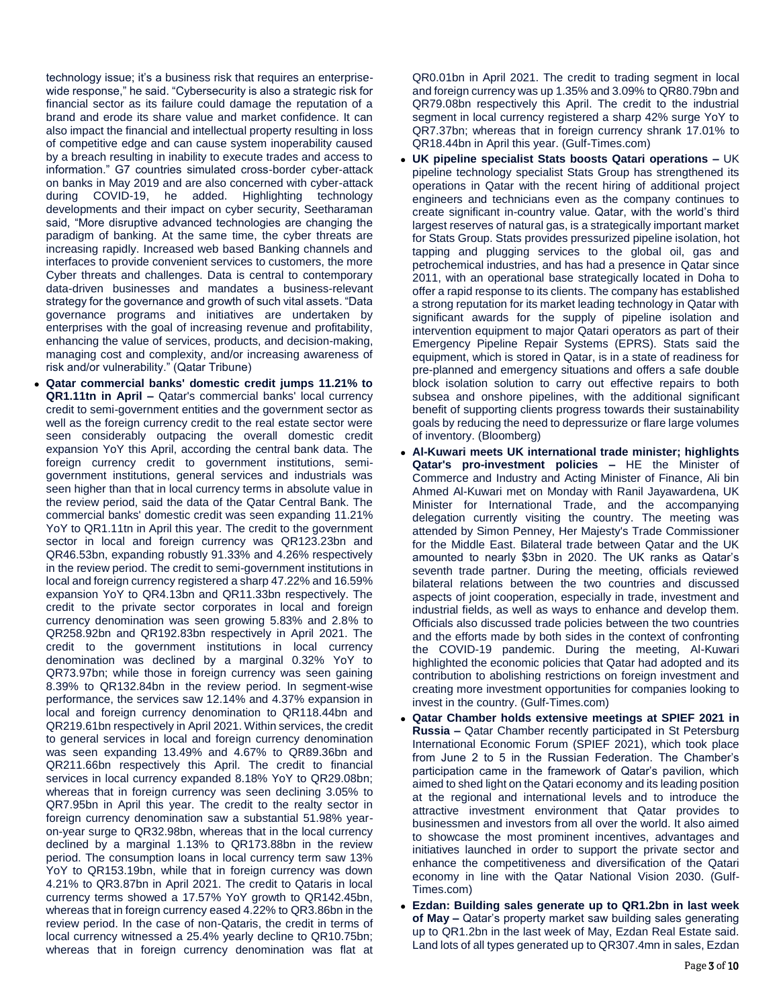technology issue; it's a business risk that requires an enterprisewide response," he said. "Cybersecurity is also a strategic risk for financial sector as its failure could damage the reputation of a brand and erode its share value and market confidence. It can also impact the financial and intellectual property resulting in loss of competitive edge and can cause system inoperability caused by a breach resulting in inability to execute trades and access to information." G7 countries simulated cross-border cyber-attack on banks in May 2019 and are also concerned with cyber-attack during COVID-19, he added. Highlighting technology developments and their impact on cyber security, Seetharaman said, "More disruptive advanced technologies are changing the paradigm of banking. At the same time, the cyber threats are increasing rapidly. Increased web based Banking channels and interfaces to provide convenient services to customers, the more Cyber threats and challenges. Data is central to contemporary data-driven businesses and mandates a business-relevant strategy for the governance and growth of such vital assets. "Data governance programs and initiatives are undertaken by enterprises with the goal of increasing revenue and profitability, enhancing the value of services, products, and decision-making, managing cost and complexity, and/or increasing awareness of risk and/or vulnerability." (Qatar Tribune)

 **Qatar commercial banks' domestic credit jumps 11.21% to QR1.11tn in April –** Qatar's commercial banks' local currency credit to semi-government entities and the government sector as well as the foreign currency credit to the real estate sector were seen considerably outpacing the overall domestic credit expansion YoY this April, according the central bank data. The foreign currency credit to government institutions, semigovernment institutions, general services and industrials was seen higher than that in local currency terms in absolute value in the review period, said the data of the Qatar Central Bank. The commercial banks' domestic credit was seen expanding 11.21% YoY to QR1.11tn in April this year. The credit to the government sector in local and foreign currency was QR123.23bn and QR46.53bn, expanding robustly 91.33% and 4.26% respectively in the review period. The credit to semi-government institutions in local and foreign currency registered a sharp 47.22% and 16.59% expansion YoY to QR4.13bn and QR11.33bn respectively. The credit to the private sector corporates in local and foreign currency denomination was seen growing 5.83% and 2.8% to QR258.92bn and QR192.83bn respectively in April 2021. The credit to the government institutions in local currency denomination was declined by a marginal 0.32% YoY to QR73.97bn; while those in foreign currency was seen gaining 8.39% to QR132.84bn in the review period. In segment-wise performance, the services saw 12.14% and 4.37% expansion in local and foreign currency denomination to QR118.44bn and QR219.61bn respectively in April 2021. Within services, the credit to general services in local and foreign currency denomination was seen expanding 13.49% and 4.67% to QR89.36bn and QR211.66bn respectively this April. The credit to financial services in local currency expanded 8.18% YoY to QR29.08bn; whereas that in foreign currency was seen declining 3.05% to QR7.95bn in April this year. The credit to the realty sector in foreign currency denomination saw a substantial 51.98% yearon-year surge to QR32.98bn, whereas that in the local currency declined by a marginal 1.13% to QR173.88bn in the review period. The consumption loans in local currency term saw 13% YoY to QR153.19bn, while that in foreign currency was down 4.21% to QR3.87bn in April 2021. The credit to Qataris in local currency terms showed a 17.57% YoY growth to QR142.45bn, whereas that in foreign currency eased 4.22% to QR3.86bn in the review period. In the case of non-Qataris, the credit in terms of local currency witnessed a 25.4% yearly decline to QR10.75bn; whereas that in foreign currency denomination was flat at

QR0.01bn in April 2021. The credit to trading segment in local and foreign currency was up 1.35% and 3.09% to QR80.79bn and QR79.08bn respectively this April. The credit to the industrial segment in local currency registered a sharp 42% surge YoY to QR7.37bn; whereas that in foreign currency shrank 17.01% to QR18.44bn in April this year. (Gulf-Times.com)

- **UK pipeline specialist Stats boosts Qatari operations –** UK pipeline technology specialist Stats Group has strengthened its operations in Qatar with the recent hiring of additional project engineers and technicians even as the company continues to create significant in-country value. Qatar, with the world's third largest reserves of natural gas, is a strategically important market for Stats Group. Stats provides pressurized pipeline isolation, hot tapping and plugging services to the global oil, gas and petrochemical industries, and has had a presence in Qatar since 2011, with an operational base strategically located in Doha to offer a rapid response to its clients. The company has established a strong reputation for its market leading technology in Qatar with significant awards for the supply of pipeline isolation and intervention equipment to major Qatari operators as part of their Emergency Pipeline Repair Systems (EPRS). Stats said the equipment, which is stored in Qatar, is in a state of readiness for pre-planned and emergency situations and offers a safe double block isolation solution to carry out effective repairs to both subsea and onshore pipelines, with the additional significant benefit of supporting clients progress towards their sustainability goals by reducing the need to depressurize or flare large volumes of inventory. (Bloomberg)
- **Al-Kuwari meets UK international trade minister; highlights Qatar's pro-investment policies –** HE the Minister of Commerce and Industry and Acting Minister of Finance, Ali bin Ahmed Al-Kuwari met on Monday with Ranil Jayawardena, UK Minister for International Trade, and the accompanying delegation currently visiting the country. The meeting was attended by Simon Penney, Her Majesty's Trade Commissioner for the Middle East. Bilateral trade between Qatar and the UK amounted to nearly \$3bn in 2020. The UK ranks as Qatar's seventh trade partner. During the meeting, officials reviewed bilateral relations between the two countries and discussed aspects of joint cooperation, especially in trade, investment and industrial fields, as well as ways to enhance and develop them. Officials also discussed trade policies between the two countries and the efforts made by both sides in the context of confronting the COVID-19 pandemic. During the meeting, Al-Kuwari highlighted the economic policies that Qatar had adopted and its contribution to abolishing restrictions on foreign investment and creating more investment opportunities for companies looking to invest in the country. (Gulf-Times.com)
- **Qatar Chamber holds extensive meetings at SPIEF 2021 in Russia –** Qatar Chamber recently participated in St Petersburg International Economic Forum (SPIEF 2021), which took place from June 2 to 5 in the Russian Federation. The Chamber's participation came in the framework of Qatar's pavilion, which aimed to shed light on the Qatari economy and its leading position at the regional and international levels and to introduce the attractive investment environment that Qatar provides to businessmen and investors from all over the world. It also aimed to showcase the most prominent incentives, advantages and initiatives launched in order to support the private sector and enhance the competitiveness and diversification of the Qatari economy in line with the Qatar National Vision 2030. (Gulf-Times.com)
- **Ezdan: Building sales generate up to QR1.2bn in last week of May –** Qatar's property market saw building sales generating up to QR1.2bn in the last week of May, Ezdan Real Estate said. Land lots of all types generated up to QR307.4mn in sales, Ezdan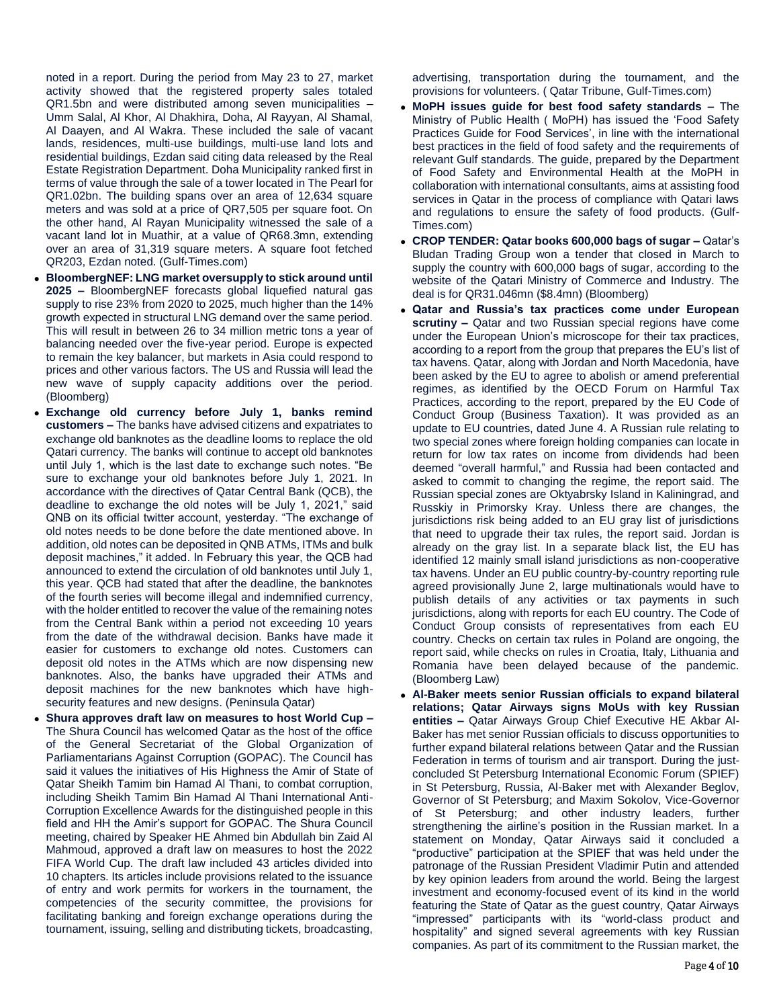noted in a report. During the period from May 23 to 27, market activity showed that the registered property sales totaled QR1.5bn and were distributed among seven municipalities – Umm Salal, Al Khor, Al Dhakhira, Doha, Al Rayyan, Al Shamal, Al Daayen, and Al Wakra. These included the sale of vacant lands, residences, multi-use buildings, multi-use land lots and residential buildings, Ezdan said citing data released by the Real Estate Registration Department. Doha Municipality ranked first in terms of value through the sale of a tower located in The Pearl for QR1.02bn. The building spans over an area of 12,634 square meters and was sold at a price of QR7,505 per square foot. On the other hand, Al Rayan Municipality witnessed the sale of a vacant land lot in Muathir, at a value of QR68.3mn, extending over an area of 31,319 square meters. A square foot fetched QR203, Ezdan noted. (Gulf-Times.com)

- **BloombergNEF: LNG market oversupply to stick around until 2025 –** BloombergNEF forecasts global liquefied natural gas supply to rise 23% from 2020 to 2025, much higher than the 14% growth expected in structural LNG demand over the same period. This will result in between 26 to 34 million metric tons a year of balancing needed over the five-year period. Europe is expected to remain the key balancer, but markets in Asia could respond to prices and other various factors. The US and Russia will lead the new wave of supply capacity additions over the period. (Bloomberg)
- **Exchange old currency before July 1, banks remind customers –** The banks have advised citizens and expatriates to exchange old banknotes as the deadline looms to replace the old Qatari currency. The banks will continue to accept old banknotes until July 1, which is the last date to exchange such notes. "Be sure to exchange your old banknotes before July 1, 2021. In accordance with the directives of Qatar Central Bank (QCB), the deadline to exchange the old notes will be July 1, 2021," said QNB on its official twitter account, yesterday. "The exchange of old notes needs to be done before the date mentioned above. In addition, old notes can be deposited in QNB ATMs, ITMs and bulk deposit machines," it added. In February this year, the QCB had announced to extend the circulation of old banknotes until July 1, this year. QCB had stated that after the deadline, the banknotes of the fourth series will become illegal and indemnified currency, with the holder entitled to recover the value of the remaining notes from the Central Bank within a period not exceeding 10 years from the date of the withdrawal decision. Banks have made it easier for customers to exchange old notes. Customers can deposit old notes in the ATMs which are now dispensing new banknotes. Also, the banks have upgraded their ATMs and deposit machines for the new banknotes which have highsecurity features and new designs. (Peninsula Qatar)
- **Shura approves draft law on measures to host World Cup –** The Shura Council has welcomed Qatar as the host of the office of the General Secretariat of the Global Organization of Parliamentarians Against Corruption (GOPAC). The Council has said it values the initiatives of His Highness the Amir of State of Qatar Sheikh Tamim bin Hamad Al Thani, to combat corruption, including Sheikh Tamim Bin Hamad Al Thani International Anti-Corruption Excellence Awards for the distinguished people in this field and HH the Amir's support for GOPAC. The Shura Council meeting, chaired by Speaker HE Ahmed bin Abdullah bin Zaid Al Mahmoud, approved a draft law on measures to host the 2022 FIFA World Cup. The draft law included 43 articles divided into 10 chapters. Its articles include provisions related to the issuance of entry and work permits for workers in the tournament, the competencies of the security committee, the provisions for facilitating banking and foreign exchange operations during the tournament, issuing, selling and distributing tickets, broadcasting,

advertising, transportation during the tournament, and the provisions for volunteers. ( Qatar Tribune, Gulf-Times.com)

- **MoPH issues guide for best food safety standards –** The Ministry of Public Health ( MoPH) has issued the 'Food Safety Practices Guide for Food Services', in line with the international best practices in the field of food safety and the requirements of relevant Gulf standards. The guide, prepared by the Department of Food Safety and Environmental Health at the MoPH in collaboration with international consultants, aims at assisting food services in Qatar in the process of compliance with Qatari laws and regulations to ensure the safety of food products. (Gulf-Times.com)
- **CROP TENDER: Qatar books 600,000 bags of sugar –** Qatar's Bludan Trading Group won a tender that closed in March to supply the country with 600,000 bags of sugar, according to the website of the Qatari Ministry of Commerce and Industry. The deal is for QR31.046mn (\$8.4mn) (Bloomberg)
- **Qatar and Russia's tax practices come under European scrutiny –** Qatar and two Russian special regions have come under the European Union's microscope for their tax practices, according to a report from the group that prepares the EU's list of tax havens. Qatar, along with Jordan and North Macedonia, have been asked by the EU to agree to abolish or amend preferential regimes, as identified by the OECD Forum on Harmful Tax Practices, according to the report, prepared by the EU Code of Conduct Group (Business Taxation). It was provided as an update to EU countries, dated June 4. A Russian rule relating to two special zones where foreign holding companies can locate in return for low tax rates on income from dividends had been deemed "overall harmful," and Russia had been contacted and asked to commit to changing the regime, the report said. The Russian special zones are Oktyabrsky Island in Kaliningrad, and Russkiy in Primorsky Kray. Unless there are changes, the jurisdictions risk being added to an EU gray list of jurisdictions that need to upgrade their tax rules, the report said. Jordan is already on the gray list. In a separate black list, the EU has identified 12 mainly small island jurisdictions as non-cooperative tax havens. Under an EU public country-by-country reporting rule agreed provisionally June 2, large multinationals would have to publish details of any activities or tax payments in such jurisdictions, along with reports for each EU country. The Code of Conduct Group consists of representatives from each EU country. Checks on certain tax rules in Poland are ongoing, the report said, while checks on rules in Croatia, Italy, Lithuania and Romania have been delayed because of the pandemic. (Bloomberg Law)
- **Al-Baker meets senior Russian officials to expand bilateral relations; Qatar Airways signs MoUs with key Russian entities –** Qatar Airways Group Chief Executive HE Akbar Al-Baker has met senior Russian officials to discuss opportunities to further expand bilateral relations between Qatar and the Russian Federation in terms of tourism and air transport. During the justconcluded St Petersburg International Economic Forum (SPIEF) in St Petersburg, Russia, Al-Baker met with Alexander Beglov, Governor of St Petersburg; and Maxim Sokolov, Vice-Governor of St Petersburg; and other industry leaders, further strengthening the airline's position in the Russian market. In a statement on Monday, Qatar Airways said it concluded a "productive" participation at the SPIEF that was held under the patronage of the Russian President Vladimir Putin and attended by key opinion leaders from around the world. Being the largest investment and economy-focused event of its kind in the world featuring the State of Qatar as the guest country, Qatar Airways "impressed" participants with its "world-class product and hospitality" and signed several agreements with key Russian companies. As part of its commitment to the Russian market, the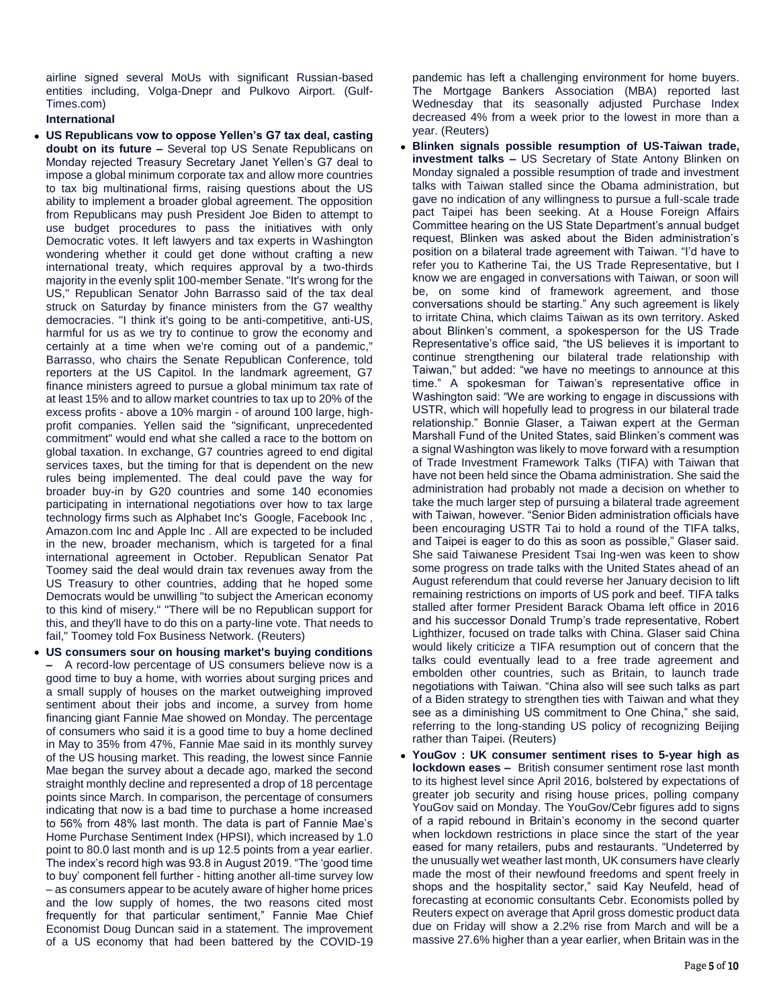airline signed several MoUs with significant Russian-based entities including, Volga-Dnepr and Pulkovo Airport. (Gulf-Times.com)

# **International**

- **US Republicans vow to oppose Yellen's G7 tax deal, casting doubt on its future –** Several top US Senate Republicans on Monday rejected Treasury Secretary Janet Yellen's G7 deal to impose a global minimum corporate tax and allow more countries to tax big multinational firms, raising questions about the US ability to implement a broader global agreement. The opposition from Republicans may push President Joe Biden to attempt to use budget procedures to pass the initiatives with only Democratic votes. It left lawyers and tax experts in Washington wondering whether it could get done without crafting a new international treaty, which requires approval by a two-thirds majority in the evenly split 100-member Senate. "It's wrong for the US," Republican Senator John Barrasso said of the tax deal struck on Saturday by finance ministers from the G7 wealthy democracies. "I think it's going to be anti-competitive, anti-US, harmful for us as we try to continue to grow the economy and certainly at a time when we're coming out of a pandemic," Barrasso, who chairs the Senate Republican Conference, told reporters at the US Capitol. In the landmark agreement, G7 finance ministers agreed to pursue a global minimum tax rate of at least 15% and to allow market countries to tax up to 20% of the excess profits - above a 10% margin - of around 100 large, highprofit companies. Yellen said the "significant, unprecedented commitment" would end what she called a race to the bottom on global taxation. In exchange, G7 countries agreed to end digital services taxes, but the timing for that is dependent on the new rules being implemented. The deal could pave the way for broader buy-in by G20 countries and some 140 economies participating in international negotiations over how to tax large technology firms such as Alphabet Inc's Google, Facebook Inc , Amazon.com Inc and Apple Inc . All are expected to be included in the new, broader mechanism, which is targeted for a final international agreement in October. Republican Senator Pat Toomey said the deal would drain tax revenues away from the US Treasury to other countries, adding that he hoped some Democrats would be unwilling "to subject the American economy to this kind of misery." "There will be no Republican support for this, and they'll have to do this on a party-line vote. That needs to fail," Toomey told Fox Business Network. (Reuters)
- **US consumers sour on housing market's buying conditions –** A record-low percentage of US consumers believe now is a good time to buy a home, with worries about surging prices and a small supply of houses on the market outweighing improved sentiment about their jobs and income, a survey from home financing giant Fannie Mae showed on Monday. The percentage of consumers who said it is a good time to buy a home declined in May to 35% from 47%, Fannie Mae said in its monthly survey of the US housing market. This reading, the lowest since Fannie Mae began the survey about a decade ago, marked the second straight monthly decline and represented a drop of 18 percentage points since March. In comparison, the percentage of consumers indicating that now is a bad time to purchase a home increased to 56% from 48% last month. The data is part of Fannie Mae's Home Purchase Sentiment Index (HPSI), which increased by 1.0 point to 80.0 last month and is up 12.5 points from a year earlier. The index's record high was 93.8 in August 2019. "The 'good time to buy' component fell further - hitting another all-time survey low – as consumers appear to be acutely aware of higher home prices and the low supply of homes, the two reasons cited most frequently for that particular sentiment," Fannie Mae Chief Economist Doug Duncan said in a statement. The improvement of a US economy that had been battered by the COVID-19

pandemic has left a challenging environment for home buyers. The Mortgage Bankers Association (MBA) reported last Wednesday that its seasonally adjusted Purchase Index decreased 4% from a week prior to the lowest in more than a year. (Reuters)

- **Blinken signals possible resumption of US-Taiwan trade, investment talks –** US Secretary of State Antony Blinken on Monday signaled a possible resumption of trade and investment talks with Taiwan stalled since the Obama administration, but gave no indication of any willingness to pursue a full-scale trade pact Taipei has been seeking. At a House Foreign Affairs Committee hearing on the US State Department's annual budget request, Blinken was asked about the Biden administration's position on a bilateral trade agreement with Taiwan. "I'd have to refer you to Katherine Tai, the US Trade Representative, but I know we are engaged in conversations with Taiwan, or soon will be, on some kind of framework agreement, and those conversations should be starting." Any such agreement is likely to irritate China, which claims Taiwan as its own territory. Asked about Blinken's comment, a spokesperson for the US Trade Representative's office said, "the US believes it is important to continue strengthening our bilateral trade relationship with Taiwan," but added: "we have no meetings to announce at this time." A spokesman for Taiwan's representative office in Washington said: "We are working to engage in discussions with USTR, which will hopefully lead to progress in our bilateral trade relationship." Bonnie Glaser, a Taiwan expert at the German Marshall Fund of the United States, said Blinken's comment was a signal Washington was likely to move forward with a resumption of Trade Investment Framework Talks (TIFA) with Taiwan that have not been held since the Obama administration. She said the administration had probably not made a decision on whether to take the much larger step of pursuing a bilateral trade agreement with Taiwan, however. "Senior Biden administration officials have been encouraging USTR Tai to hold a round of the TIFA talks, and Taipei is eager to do this as soon as possible," Glaser said. She said Taiwanese President Tsai Ing-wen was keen to show some progress on trade talks with the United States ahead of an August referendum that could reverse her January decision to lift remaining restrictions on imports of US pork and beef. TIFA talks stalled after former President Barack Obama left office in 2016 and his successor Donald Trump's trade representative, Robert Lighthizer, focused on trade talks with China. Glaser said China would likely criticize a TIFA resumption out of concern that the talks could eventually lead to a free trade agreement and embolden other countries, such as Britain, to launch trade negotiations with Taiwan. "China also will see such talks as part of a Biden strategy to strengthen ties with Taiwan and what they see as a diminishing US commitment to One China," she said, referring to the long-standing US policy of recognizing Beijing rather than Taipei. (Reuters)
- **YouGov : UK consumer sentiment rises to 5-year high as lockdown eases –** British consumer sentiment rose last month to its highest level since April 2016, bolstered by expectations of greater job security and rising house prices, polling company YouGov said on Monday. The YouGov/Cebr figures add to signs of a rapid rebound in Britain's economy in the second quarter when lockdown restrictions in place since the start of the year eased for many retailers, pubs and restaurants. "Undeterred by the unusually wet weather last month, UK consumers have clearly made the most of their newfound freedoms and spent freely in shops and the hospitality sector," said Kay Neufeld, head of forecasting at economic consultants Cebr. Economists polled by Reuters expect on average that April gross domestic product data due on Friday will show a 2.2% rise from March and will be a massive 27.6% higher than a year earlier, when Britain was in the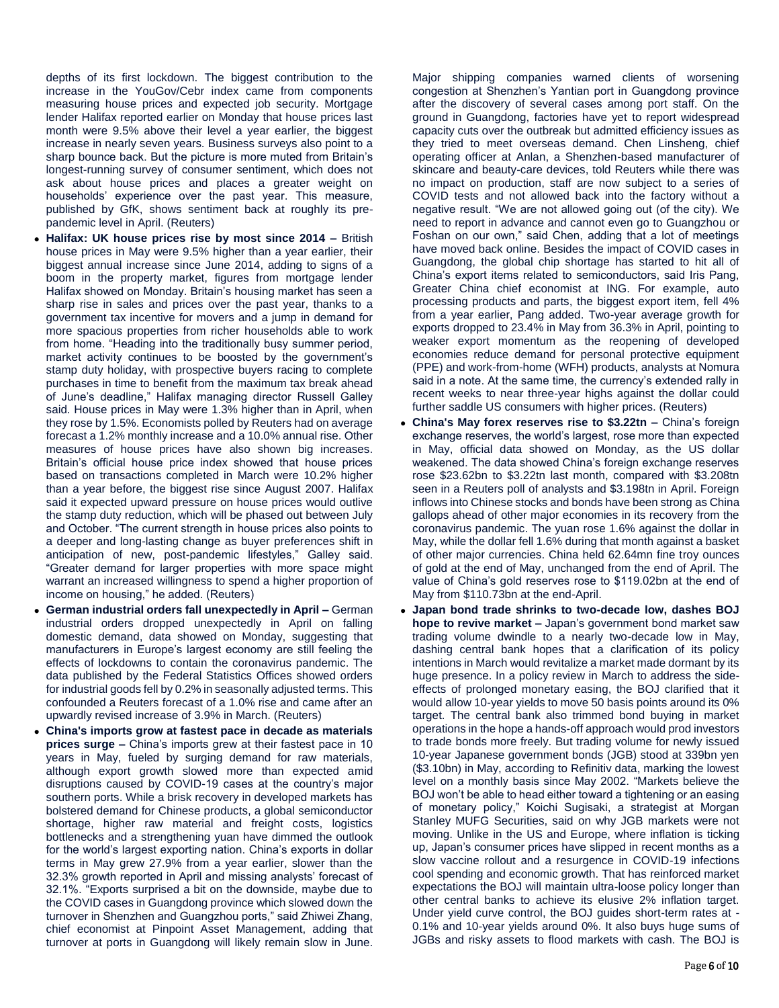depths of its first lockdown. The biggest contribution to the increase in the YouGov/Cebr index came from components measuring house prices and expected job security. Mortgage lender Halifax reported earlier on Monday that house prices last month were 9.5% above their level a year earlier, the biggest increase in nearly seven years. Business surveys also point to a sharp bounce back. But the picture is more muted from Britain's longest-running survey of consumer sentiment, which does not ask about house prices and places a greater weight on households' experience over the past year. This measure, published by GfK, shows sentiment back at roughly its prepandemic level in April. (Reuters)

- **Halifax: UK house prices rise by most since 2014 –** British house prices in May were 9.5% higher than a year earlier, their biggest annual increase since June 2014, adding to signs of a boom in the property market, figures from mortgage lender Halifax showed on Monday. Britain's housing market has seen a sharp rise in sales and prices over the past year, thanks to a government tax incentive for movers and a jump in demand for more spacious properties from richer households able to work from home. "Heading into the traditionally busy summer period, market activity continues to be boosted by the government's stamp duty holiday, with prospective buyers racing to complete purchases in time to benefit from the maximum tax break ahead of June's deadline," Halifax managing director Russell Galley said. House prices in May were 1.3% higher than in April, when they rose by 1.5%. Economists polled by Reuters had on average forecast a 1.2% monthly increase and a 10.0% annual rise. Other measures of house prices have also shown big increases. Britain's official house price index showed that house prices based on transactions completed in March were 10.2% higher than a year before, the biggest rise since August 2007. Halifax said it expected upward pressure on house prices would outlive the stamp duty reduction, which will be phased out between July and October. "The current strength in house prices also points to a deeper and long-lasting change as buyer preferences shift in anticipation of new, post-pandemic lifestyles," Galley said. "Greater demand for larger properties with more space might warrant an increased willingness to spend a higher proportion of income on housing," he added. (Reuters)
- **German industrial orders fall unexpectedly in April –** German industrial orders dropped unexpectedly in April on falling domestic demand, data showed on Monday, suggesting that manufacturers in Europe's largest economy are still feeling the effects of lockdowns to contain the coronavirus pandemic. The data published by the Federal Statistics Offices showed orders for industrial goods fell by 0.2% in seasonally adjusted terms. This confounded a Reuters forecast of a 1.0% rise and came after an upwardly revised increase of 3.9% in March. (Reuters)
- **China's imports grow at fastest pace in decade as materials prices surge –** China's imports grew at their fastest pace in 10 years in May, fueled by surging demand for raw materials, although export growth slowed more than expected amid disruptions caused by COVID-19 cases at the country's major southern ports. While a brisk recovery in developed markets has bolstered demand for Chinese products, a global semiconductor shortage, higher raw material and freight costs, logistics bottlenecks and a strengthening yuan have dimmed the outlook for the world's largest exporting nation. China's exports in dollar terms in May grew 27.9% from a year earlier, slower than the 32.3% growth reported in April and missing analysts' forecast of 32.1%. "Exports surprised a bit on the downside, maybe due to the COVID cases in Guangdong province which slowed down the turnover in Shenzhen and Guangzhou ports," said Zhiwei Zhang, chief economist at Pinpoint Asset Management, adding that turnover at ports in Guangdong will likely remain slow in June.

Major shipping companies warned clients of worsening congestion at Shenzhen's Yantian port in Guangdong province after the discovery of several cases among port staff. On the ground in Guangdong, factories have yet to report widespread capacity cuts over the outbreak but admitted efficiency issues as they tried to meet overseas demand. Chen Linsheng, chief operating officer at Anlan, a Shenzhen-based manufacturer of skincare and beauty-care devices, told Reuters while there was no impact on production, staff are now subject to a series of COVID tests and not allowed back into the factory without a negative result. "We are not allowed going out (of the city). We need to report in advance and cannot even go to Guangzhou or Foshan on our own," said Chen, adding that a lot of meetings have moved back online. Besides the impact of COVID cases in Guangdong, the global chip shortage has started to hit all of China's export items related to semiconductors, said Iris Pang, Greater China chief economist at ING. For example, auto processing products and parts, the biggest export item, fell 4% from a year earlier, Pang added. Two-year average growth for exports dropped to 23.4% in May from 36.3% in April, pointing to weaker export momentum as the reopening of developed economies reduce demand for personal protective equipment (PPE) and work-from-home (WFH) products, analysts at Nomura said in a note. At the same time, the currency's extended rally in recent weeks to near three-year highs against the dollar could further saddle US consumers with higher prices. (Reuters)

- **China's May forex reserves rise to \$3.22tn –** China's foreign exchange reserves, the world's largest, rose more than expected in May, official data showed on Monday, as the US dollar weakened. The data showed China's foreign exchange reserves rose \$23.62bn to \$3.22tn last month, compared with \$3.208tn seen in a Reuters poll of analysts and \$3.198tn in April. Foreign inflows into Chinese stocks and bonds have been strong as China gallops ahead of other major economies in its recovery from the coronavirus pandemic. The yuan rose 1.6% against the dollar in May, while the dollar fell 1.6% during that month against a basket of other major currencies. China held 62.64mn fine troy ounces of gold at the end of May, unchanged from the end of April. The value of China's gold reserves rose to \$119.02bn at the end of May from \$110.73bn at the end-April.
- **Japan bond trade shrinks to two-decade low, dashes BOJ hope to revive market –** Japan's government bond market saw trading volume dwindle to a nearly two-decade low in May, dashing central bank hopes that a clarification of its policy intentions in March would revitalize a market made dormant by its huge presence. In a policy review in March to address the sideeffects of prolonged monetary easing, the BOJ clarified that it would allow 10-year yields to move 50 basis points around its 0% target. The central bank also trimmed bond buying in market operations in the hope a hands-off approach would prod investors to trade bonds more freely. But trading volume for newly issued 10-year Japanese government bonds (JGB) stood at 339bn yen (\$3.10bn) in May, according to Refinitiv data, marking the lowest level on a monthly basis since May 2002. "Markets believe the BOJ won't be able to head either toward a tightening or an easing of monetary policy," Koichi Sugisaki, a strategist at Morgan Stanley MUFG Securities, said on why JGB markets were not moving. Unlike in the US and Europe, where inflation is ticking up, Japan's consumer prices have slipped in recent months as a slow vaccine rollout and a resurgence in COVID-19 infections cool spending and economic growth. That has reinforced market expectations the BOJ will maintain ultra-loose policy longer than other central banks to achieve its elusive 2% inflation target. Under yield curve control, the BOJ guides short-term rates at - 0.1% and 10-year yields around 0%. It also buys huge sums of JGBs and risky assets to flood markets with cash. The BOJ is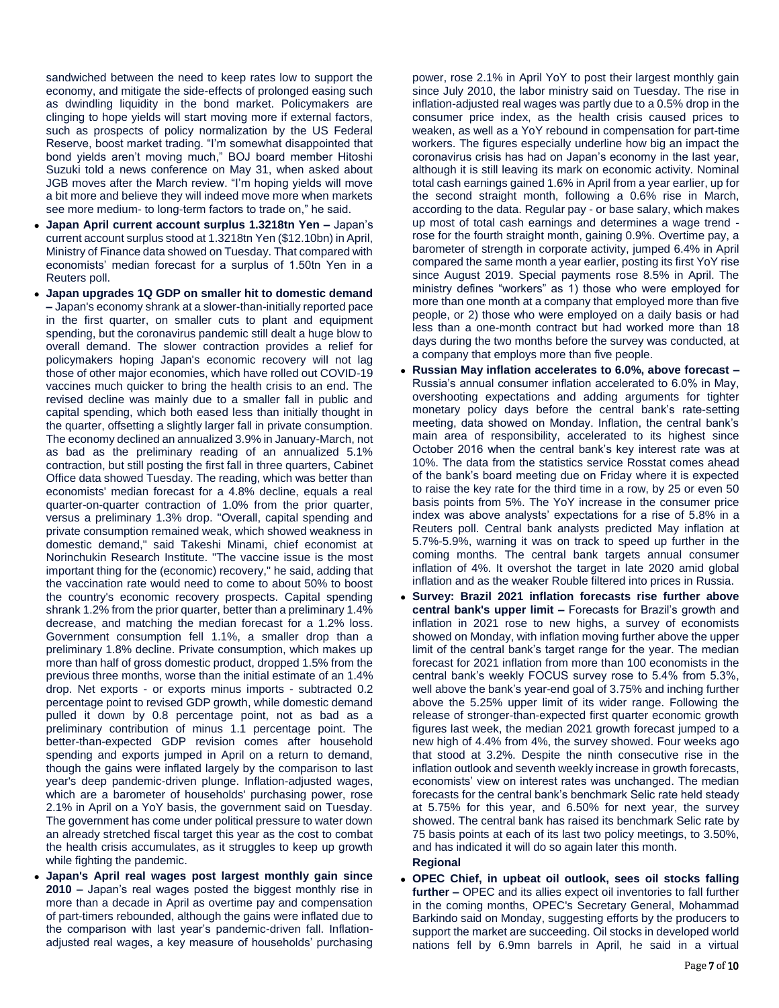sandwiched between the need to keep rates low to support the economy, and mitigate the side-effects of prolonged easing such as dwindling liquidity in the bond market. Policymakers are clinging to hope yields will start moving more if external factors, such as prospects of policy normalization by the US Federal Reserve, boost market trading. "I'm somewhat disappointed that bond yields aren't moving much," BOJ board member Hitoshi Suzuki told a news conference on May 31, when asked about JGB moves after the March review. "I'm hoping yields will move a bit more and believe they will indeed move more when markets see more medium- to long-term factors to trade on," he said.

- **Japan April current account surplus 1.3218tn Yen –** Japan's current account surplus stood at 1.3218tn Yen (\$12.10bn) in April, Ministry of Finance data showed on Tuesday. That compared with economists' median forecast for a surplus of 1.50tn Yen in a Reuters poll.
- **Japan upgrades 1Q GDP on smaller hit to domestic demand –** Japan's economy shrank at a slower-than-initially reported pace in the first quarter, on smaller cuts to plant and equipment spending, but the coronavirus pandemic still dealt a huge blow to overall demand. The slower contraction provides a relief for policymakers hoping Japan's economic recovery will not lag those of other major economies, which have rolled out COVID-19 vaccines much quicker to bring the health crisis to an end. The revised decline was mainly due to a smaller fall in public and capital spending, which both eased less than initially thought in the quarter, offsetting a slightly larger fall in private consumption. The economy declined an annualized 3.9% in January-March, not as bad as the preliminary reading of an annualized 5.1% contraction, but still posting the first fall in three quarters, Cabinet Office data showed Tuesday. The reading, which was better than economists' median forecast for a 4.8% decline, equals a real quarter-on-quarter contraction of 1.0% from the prior quarter, versus a preliminary 1.3% drop. "Overall, capital spending and private consumption remained weak, which showed weakness in domestic demand," said Takeshi Minami, chief economist at Norinchukin Research Institute. "The vaccine issue is the most important thing for the (economic) recovery," he said, adding that the vaccination rate would need to come to about 50% to boost the country's economic recovery prospects. Capital spending shrank 1.2% from the prior quarter, better than a preliminary 1.4% decrease, and matching the median forecast for a 1.2% loss. Government consumption fell 1.1%, a smaller drop than a preliminary 1.8% decline. Private consumption, which makes up more than half of gross domestic product, dropped 1.5% from the previous three months, worse than the initial estimate of an 1.4% drop. Net exports - or exports minus imports - subtracted 0.2 percentage point to revised GDP growth, while domestic demand pulled it down by 0.8 percentage point, not as bad as a preliminary contribution of minus 1.1 percentage point. The better-than-expected GDP revision comes after household spending and exports jumped in April on a return to demand, though the gains were inflated largely by the comparison to last year's deep pandemic-driven plunge. Inflation-adjusted wages, which are a barometer of households' purchasing power, rose 2.1% in April on a YoY basis, the government said on Tuesday. The government has come under political pressure to water down an already stretched fiscal target this year as the cost to combat the health crisis accumulates, as it struggles to keep up growth while fighting the pandemic.
- **Japan's April real wages post largest monthly gain since 2010 –** Japan's real wages posted the biggest monthly rise in more than a decade in April as overtime pay and compensation of part-timers rebounded, although the gains were inflated due to the comparison with last year's pandemic-driven fall. Inflationadjusted real wages, a key measure of households' purchasing

power, rose 2.1% in April YoY to post their largest monthly gain since July 2010, the labor ministry said on Tuesday. The rise in inflation-adjusted real wages was partly due to a 0.5% drop in the consumer price index, as the health crisis caused prices to weaken, as well as a YoY rebound in compensation for part-time workers. The figures especially underline how big an impact the coronavirus crisis has had on Japan's economy in the last year, although it is still leaving its mark on economic activity. Nominal total cash earnings gained 1.6% in April from a year earlier, up for the second straight month, following a 0.6% rise in March, according to the data. Regular pay - or base salary, which makes up most of total cash earnings and determines a wage trend rose for the fourth straight month, gaining 0.9%. Overtime pay, a barometer of strength in corporate activity, jumped 6.4% in April compared the same month a year earlier, posting its first YoY rise since August 2019. Special payments rose 8.5% in April. The ministry defines "workers" as 1) those who were employed for more than one month at a company that employed more than five people, or 2) those who were employed on a daily basis or had less than a one-month contract but had worked more than 18 days during the two months before the survey was conducted, at a company that employs more than five people.

- **Russian May inflation accelerates to 6.0%, above forecast –** Russia's annual consumer inflation accelerated to 6.0% in May, overshooting expectations and adding arguments for tighter monetary policy days before the central bank's rate-setting meeting, data showed on Monday. Inflation, the central bank's main area of responsibility, accelerated to its highest since October 2016 when the central bank's key interest rate was at 10%. The data from the statistics service Rosstat comes ahead of the bank's board meeting due on Friday where it is expected to raise the key rate for the third time in a row, by 25 or even 50 basis points from 5%. The YoY increase in the consumer price index was above analysts' expectations for a rise of 5.8% in a Reuters poll. Central bank analysts predicted May inflation at 5.7%-5.9%, warning it was on track to speed up further in the coming months. The central bank targets annual consumer inflation of 4%. It overshot the target in late 2020 amid global inflation and as the weaker Rouble filtered into prices in Russia.
- **Survey: Brazil 2021 inflation forecasts rise further above central bank's upper limit –** Forecasts for Brazil's growth and inflation in 2021 rose to new highs, a survey of economists showed on Monday, with inflation moving further above the upper limit of the central bank's target range for the year. The median forecast for 2021 inflation from more than 100 economists in the central bank's weekly FOCUS survey rose to 5.4% from 5.3%, well above the bank's year-end goal of 3.75% and inching further above the 5.25% upper limit of its wider range. Following the release of stronger-than-expected first quarter economic growth figures last week, the median 2021 growth forecast jumped to a new high of 4.4% from 4%, the survey showed. Four weeks ago that stood at 3.2%. Despite the ninth consecutive rise in the inflation outlook and seventh weekly increase in growth forecasts, economists' view on interest rates was unchanged. The median forecasts for the central bank's benchmark Selic rate held steady at 5.75% for this year, and 6.50% for next year, the survey showed. The central bank has raised its benchmark Selic rate by 75 basis points at each of its last two policy meetings, to 3.50%, and has indicated it will do so again later this month.

# **Regional**

 **OPEC Chief, in upbeat oil outlook, sees oil stocks falling further –** OPEC and its allies expect oil inventories to fall further in the coming months, OPEC's Secretary General, Mohammad Barkindo said on Monday, suggesting efforts by the producers to support the market are succeeding. Oil stocks in developed world nations fell by 6.9mn barrels in April, he said in a virtual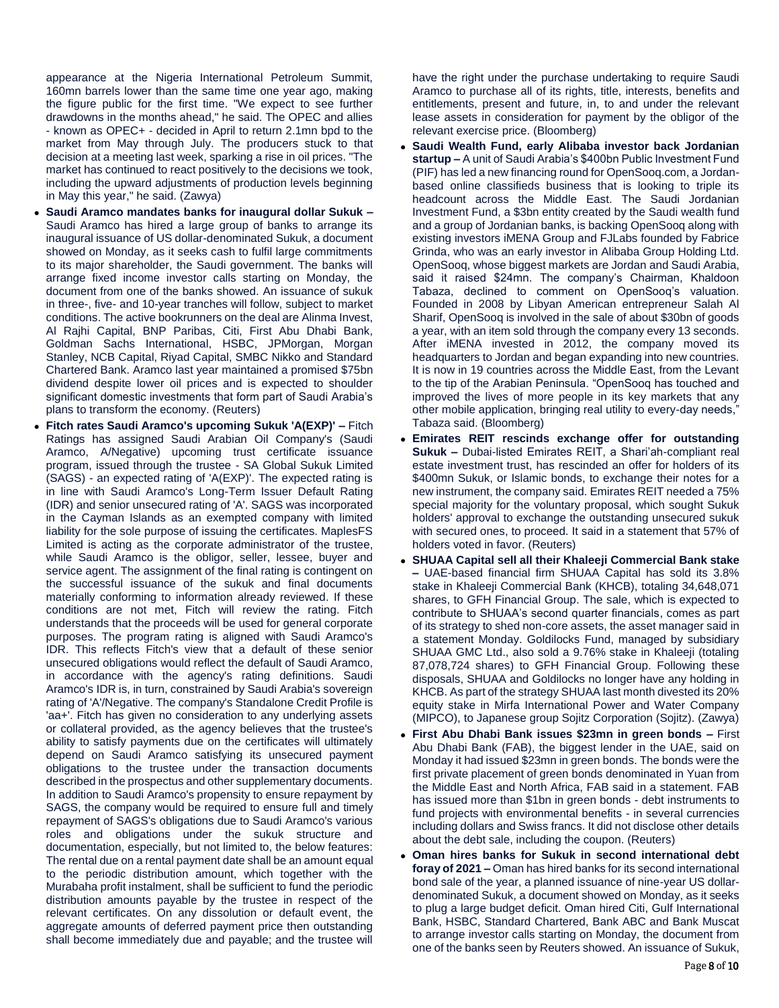appearance at the Nigeria International Petroleum Summit, 160mn barrels lower than the same time one year ago, making the figure public for the first time. "We expect to see further drawdowns in the months ahead," he said. The OPEC and allies - known as OPEC+ - decided in April to return 2.1mn bpd to the market from May through July. The producers stuck to that decision at a meeting last week, sparking a rise in oil prices. "The market has continued to react positively to the decisions we took, including the upward adjustments of production levels beginning in May this year," he said. (Zawya)

- **Saudi Aramco mandates banks for inaugural dollar Sukuk –** Saudi Aramco has hired a large group of banks to arrange its inaugural issuance of US dollar-denominated Sukuk, a document showed on Monday, as it seeks cash to fulfil large commitments to its major shareholder, the Saudi government. The banks will arrange fixed income investor calls starting on Monday, the document from one of the banks showed. An issuance of sukuk in three-, five- and 10-year tranches will follow, subject to market conditions. The active bookrunners on the deal are Alinma Invest, Al Rajhi Capital, BNP Paribas, Citi, First Abu Dhabi Bank, Goldman Sachs International, HSBC, JPMorgan, Morgan Stanley, NCB Capital, Riyad Capital, SMBC Nikko and Standard Chartered Bank. Aramco last year maintained a promised \$75bn dividend despite lower oil prices and is expected to shoulder significant domestic investments that form part of Saudi Arabia's plans to transform the economy. (Reuters)
- **Fitch rates Saudi Aramco's upcoming Sukuk 'A(EXP)' –** Fitch Ratings has assigned Saudi Arabian Oil Company's (Saudi Aramco, A/Negative) upcoming trust certificate issuance program, issued through the trustee - SA Global Sukuk Limited (SAGS) - an expected rating of 'A(EXP)'. The expected rating is in line with Saudi Aramco's Long-Term Issuer Default Rating (IDR) and senior unsecured rating of 'A'. SAGS was incorporated in the Cayman Islands as an exempted company with limited liability for the sole purpose of issuing the certificates. MaplesFS Limited is acting as the corporate administrator of the trustee, while Saudi Aramco is the obligor, seller, lessee, buyer and service agent. The assignment of the final rating is contingent on the successful issuance of the sukuk and final documents materially conforming to information already reviewed. If these conditions are not met, Fitch will review the rating. Fitch understands that the proceeds will be used for general corporate purposes. The program rating is aligned with Saudi Aramco's IDR. This reflects Fitch's view that a default of these senior unsecured obligations would reflect the default of Saudi Aramco, in accordance with the agency's rating definitions. Saudi Aramco's IDR is, in turn, constrained by Saudi Arabia's sovereign rating of 'A'/Negative. The company's Standalone Credit Profile is 'aa+'. Fitch has given no consideration to any underlying assets or collateral provided, as the agency believes that the trustee's ability to satisfy payments due on the certificates will ultimately depend on Saudi Aramco satisfying its unsecured payment obligations to the trustee under the transaction documents described in the prospectus and other supplementary documents. In addition to Saudi Aramco's propensity to ensure repayment by SAGS, the company would be required to ensure full and timely repayment of SAGS's obligations due to Saudi Aramco's various roles and obligations under the sukuk structure and documentation, especially, but not limited to, the below features: The rental due on a rental payment date shall be an amount equal to the periodic distribution amount, which together with the Murabaha profit instalment, shall be sufficient to fund the periodic distribution amounts payable by the trustee in respect of the relevant certificates. On any dissolution or default event, the aggregate amounts of deferred payment price then outstanding shall become immediately due and payable; and the trustee will

have the right under the purchase undertaking to require Saudi Aramco to purchase all of its rights, title, interests, benefits and entitlements, present and future, in, to and under the relevant lease assets in consideration for payment by the obligor of the relevant exercise price. (Bloomberg)

- **Saudi Wealth Fund, early Alibaba investor back Jordanian startup –** A unit of Saudi Arabia's \$400bn Public Investment Fund (PIF) has led a new financing round for OpenSooq.com, a Jordanbased online classifieds business that is looking to triple its headcount across the Middle East. The Saudi Jordanian Investment Fund, a \$3bn entity created by the Saudi wealth fund and a group of Jordanian banks, is backing OpenSooq along with existing investors iMENA Group and FJLabs founded by Fabrice Grinda, who was an early investor in Alibaba Group Holding Ltd. OpenSooq, whose biggest markets are Jordan and Saudi Arabia, said it raised \$24mn. The company's Chairman, Khaldoon Tabaza, declined to comment on OpenSooq's valuation. Founded in 2008 by Libyan American entrepreneur Salah Al Sharif, OpenSooq is involved in the sale of about \$30bn of goods a year, with an item sold through the company every 13 seconds. After iMENA invested in 2012, the company moved its headquarters to Jordan and began expanding into new countries. It is now in 19 countries across the Middle East, from the Levant to the tip of the Arabian Peninsula. "OpenSooq has touched and improved the lives of more people in its key markets that any other mobile application, bringing real utility to every-day needs," Tabaza said. (Bloomberg)
- **Emirates REIT rescinds exchange offer for outstanding Sukuk –** Dubai-listed Emirates REIT, a Shari'ah-compliant real estate investment trust, has rescinded an offer for holders of its \$400mn Sukuk, or Islamic bonds, to exchange their notes for a new instrument, the company said. Emirates REIT needed a 75% special majority for the voluntary proposal, which sought Sukuk holders' approval to exchange the outstanding unsecured sukuk with secured ones, to proceed. It said in a statement that 57% of holders voted in favor. (Reuters)
- **SHUAA Capital sell all their Khaleeji Commercial Bank stake –** UAE-based financial firm SHUAA Capital has sold its 3.8% stake in Khaleeji Commercial Bank (KHCB), totaling 34,648,071 shares, to GFH Financial Group. The sale, which is expected to contribute to SHUAA's second quarter financials, comes as part of its strategy to shed non-core assets, the asset manager said in a statement Monday. Goldilocks Fund, managed by subsidiary SHUAA GMC Ltd., also sold a 9.76% stake in Khaleeji (totaling 87,078,724 shares) to GFH Financial Group. Following these disposals, SHUAA and Goldilocks no longer have any holding in KHCB. As part of the strategy SHUAA last month divested its 20% equity stake in Mirfa International Power and Water Company (MIPCO), to Japanese group Sojitz Corporation (Sojitz). (Zawya)
- **First Abu Dhabi Bank issues \$23mn in green bonds –** First Abu Dhabi Bank (FAB), the biggest lender in the UAE, said on Monday it had issued \$23mn in green bonds. The bonds were the first private placement of green bonds denominated in Yuan from the Middle East and North Africa, FAB said in a statement. FAB has issued more than \$1bn in green bonds - debt instruments to fund projects with environmental benefits - in several currencies including dollars and Swiss francs. It did not disclose other details about the debt sale, including the coupon. (Reuters)
- **Oman hires banks for Sukuk in second international debt foray of 2021 –** Oman has hired banks for its second international bond sale of the year, a planned issuance of nine-year US dollardenominated Sukuk, a document showed on Monday, as it seeks to plug a large budget deficit. Oman hired Citi, Gulf International Bank, HSBC, Standard Chartered, Bank ABC and Bank Muscat to arrange investor calls starting on Monday, the document from one of the banks seen by Reuters showed. An issuance of Sukuk,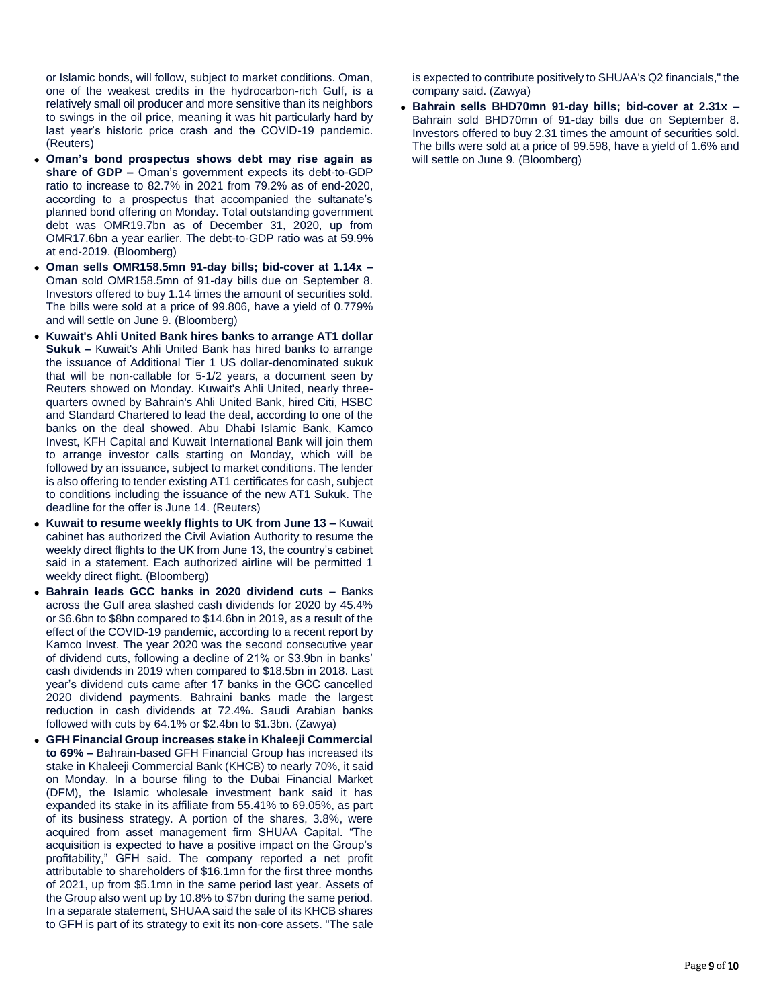or Islamic bonds, will follow, subject to market conditions. Oman, one of the weakest credits in the hydrocarbon-rich Gulf, is a relatively small oil producer and more sensitive than its neighbors to swings in the oil price, meaning it was hit particularly hard by last year's historic price crash and the COVID-19 pandemic. (Reuters)

- **Oman's bond prospectus shows debt may rise again as share of GDP –** Oman's government expects its debt-to-GDP ratio to increase to 82.7% in 2021 from 79.2% as of end-2020, according to a prospectus that accompanied the sultanate's planned bond offering on Monday. Total outstanding government debt was OMR19.7bn as of December 31, 2020, up from OMR17.6bn a year earlier. The debt-to-GDP ratio was at 59.9% at end-2019. (Bloomberg)
- **Oman sells OMR158.5mn 91-day bills; bid-cover at 1.14x –** Oman sold OMR158.5mn of 91-day bills due on September 8. Investors offered to buy 1.14 times the amount of securities sold. The bills were sold at a price of 99.806, have a yield of 0.779% and will settle on June 9. (Bloomberg)
- **Kuwait's Ahli United Bank hires banks to arrange AT1 dollar Sukuk –** Kuwait's Ahli United Bank has hired banks to arrange the issuance of Additional Tier 1 US dollar-denominated sukuk that will be non-callable for 5-1/2 years, a document seen by Reuters showed on Monday. Kuwait's Ahli United, nearly threequarters owned by Bahrain's Ahli United Bank, hired Citi, HSBC and Standard Chartered to lead the deal, according to one of the banks on the deal showed. Abu Dhabi Islamic Bank, Kamco Invest, KFH Capital and Kuwait International Bank will join them to arrange investor calls starting on Monday, which will be followed by an issuance, subject to market conditions. The lender is also offering to tender existing AT1 certificates for cash, subject to conditions including the issuance of the new AT1 Sukuk. The deadline for the offer is June 14. (Reuters)
- **Kuwait to resume weekly flights to UK from June 13 –** Kuwait cabinet has authorized the Civil Aviation Authority to resume the weekly direct flights to the UK from June 13, the country's cabinet said in a statement. Each authorized airline will be permitted 1 weekly direct flight. (Bloomberg)
- **Bahrain leads GCC banks in 2020 dividend cuts –** Banks across the Gulf area slashed cash dividends for 2020 by 45.4% or \$6.6bn to \$8bn compared to \$14.6bn in 2019, as a result of the effect of the COVID-19 pandemic, according to a recent report by Kamco Invest. The year 2020 was the second consecutive year of dividend cuts, following a decline of 21% or \$3.9bn in banks' cash dividends in 2019 when compared to \$18.5bn in 2018. Last year's dividend cuts came after 17 banks in the GCC cancelled 2020 dividend payments. Bahraini banks made the largest reduction in cash dividends at 72.4%. Saudi Arabian banks followed with cuts by 64.1% or \$2.4bn to \$1.3bn. (Zawya)
- **GFH Financial Group increases stake in Khaleeji Commercial to 69% –** Bahrain-based GFH Financial Group has increased its stake in Khaleeji Commercial Bank (KHCB) to nearly 70%, it said on Monday. In a bourse filing to the Dubai Financial Market (DFM), the Islamic wholesale investment bank said it has expanded its stake in its affiliate from 55.41% to 69.05%, as part of its business strategy. A portion of the shares, 3.8%, were acquired from asset management firm SHUAA Capital. "The acquisition is expected to have a positive impact on the Group's profitability," GFH said. The company reported a net profit attributable to shareholders of \$16.1mn for the first three months of 2021, up from \$5.1mn in the same period last year. Assets of the Group also went up by 10.8% to \$7bn during the same period. In a separate statement, SHUAA said the sale of its KHCB shares to GFH is part of its strategy to exit its non-core assets. "The sale

is expected to contribute positively to SHUAA's Q2 financials," the company said. (Zawya)

 **Bahrain sells BHD70mn 91-day bills; bid-cover at 2.31x –** Bahrain sold BHD70mn of 91-day bills due on September 8. Investors offered to buy 2.31 times the amount of securities sold. The bills were sold at a price of 99.598, have a yield of 1.6% and will settle on June 9. (Bloomberg)